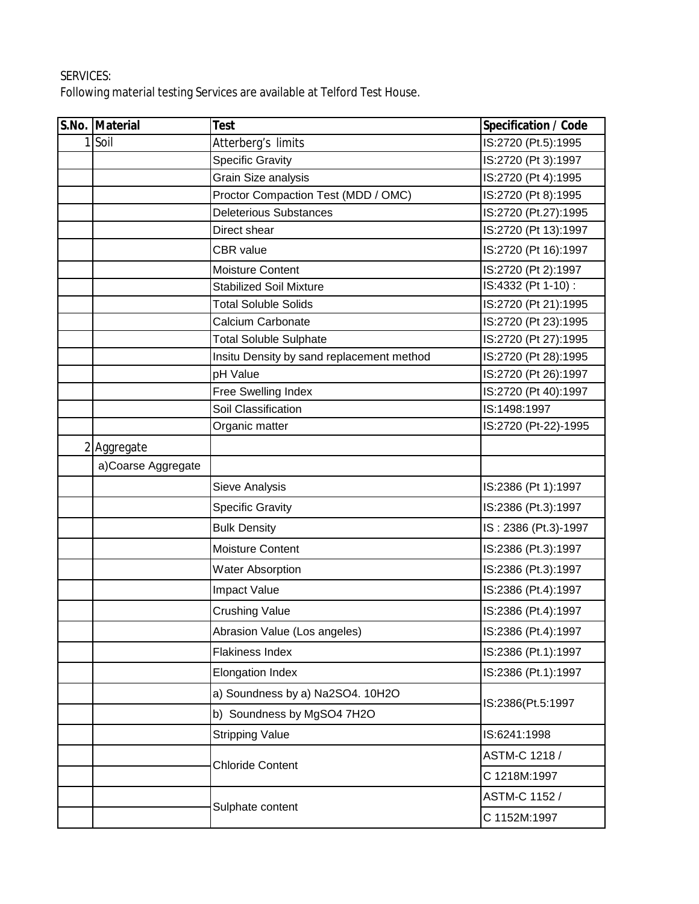## SERVICES:

Following material testing Services are available at Telford Test House.

|  | S.No. Material     | <b>Test</b>                               | <b>Specification / Code</b> |
|--|--------------------|-------------------------------------------|-----------------------------|
|  | $1$ Soil           | Atterberg's limits                        | IS:2720 (Pt.5):1995         |
|  |                    | <b>Specific Gravity</b>                   | IS:2720 (Pt 3):1997         |
|  |                    | Grain Size analysis                       | IS:2720 (Pt 4):1995         |
|  |                    | Proctor Compaction Test (MDD / OMC)       | IS:2720 (Pt 8):1995         |
|  |                    | <b>Deleterious Substances</b>             | IS:2720 (Pt.27):1995        |
|  |                    | Direct shear                              | IS:2720 (Pt 13):1997        |
|  |                    | <b>CBR</b> value                          | IS:2720 (Pt 16):1997        |
|  |                    | <b>Moisture Content</b>                   | IS:2720 (Pt 2):1997         |
|  |                    | <b>Stabilized Soil Mixture</b>            | IS:4332 (Pt 1-10) :         |
|  |                    | <b>Total Soluble Solids</b>               | IS:2720 (Pt 21):1995        |
|  |                    | Calcium Carbonate                         | IS:2720 (Pt 23):1995        |
|  |                    | <b>Total Soluble Sulphate</b>             | IS:2720 (Pt 27):1995        |
|  |                    | Insitu Density by sand replacement method | IS:2720 (Pt 28):1995        |
|  |                    | pH Value                                  | IS:2720 (Pt 26):1997        |
|  |                    | Free Swelling Index                       | IS:2720 (Pt 40):1997        |
|  |                    | Soil Classification                       | IS:1498:1997                |
|  |                    | Organic matter                            | IS:2720 (Pt-22)-1995        |
|  | 2 Aggregate        |                                           |                             |
|  | a)Coarse Aggregate |                                           |                             |
|  |                    | Sieve Analysis                            | IS:2386 (Pt 1):1997         |
|  |                    | <b>Specific Gravity</b>                   | IS:2386 (Pt.3):1997         |
|  |                    | <b>Bulk Density</b>                       | IS: 2386 (Pt.3)-1997        |
|  |                    | Moisture Content                          | IS:2386 (Pt.3):1997         |
|  |                    | <b>Water Absorption</b>                   | IS:2386 (Pt.3):1997         |
|  |                    | <b>Impact Value</b>                       | IS:2386 (Pt.4):1997         |
|  |                    | <b>Crushing Value</b>                     | IS:2386 (Pt.4):1997         |
|  |                    | Abrasion Value (Los angeles)              | IS:2386 (Pt.4):1997         |
|  |                    | <b>Flakiness Index</b>                    | IS:2386 (Pt.1):1997         |
|  |                    | <b>Elongation Index</b>                   | IS:2386 (Pt.1):1997         |
|  |                    | a) Soundness by a) Na2SO4. 10H2O          |                             |
|  |                    | b) Soundness by MgSO4 7H2O                | IS:2386(Pt.5:1997           |
|  |                    | <b>Stripping Value</b>                    | IS:6241:1998                |
|  |                    |                                           | ASTM-C 1218 /               |
|  |                    | <b>Chloride Content</b>                   | C 1218M:1997                |
|  |                    |                                           | ASTM-C 1152 /               |
|  |                    | Sulphate content                          | C 1152M:1997                |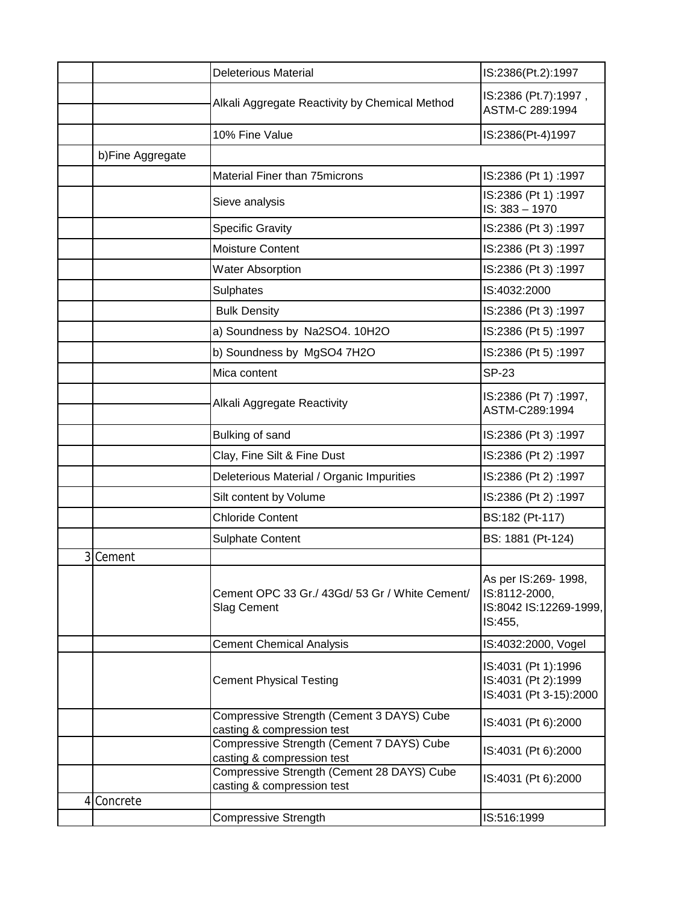|    |                  | <b>Deleterious Material</b>                                              | IS:2386(Pt.2):1997                                                         |
|----|------------------|--------------------------------------------------------------------------|----------------------------------------------------------------------------|
|    |                  | Alkali Aggregate Reactivity by Chemical Method                           | IS:2386 (Pt.7):1997,<br>ASTM-C 289:1994                                    |
|    |                  | 10% Fine Value                                                           | IS:2386(Pt-4)1997                                                          |
|    | b)Fine Aggregate |                                                                          |                                                                            |
|    |                  | Material Finer than 75 microns                                           | IS:2386 (Pt 1):1997                                                        |
|    |                  | Sieve analysis                                                           | IS:2386 (Pt 1):1997<br>IS: 383 - 1970                                      |
|    |                  | <b>Specific Gravity</b>                                                  | IS:2386 (Pt 3):1997                                                        |
|    |                  | <b>Moisture Content</b>                                                  | IS:2386 (Pt 3):1997                                                        |
|    |                  | <b>Water Absorption</b>                                                  | IS:2386 (Pt 3):1997                                                        |
|    |                  | Sulphates                                                                | IS:4032:2000                                                               |
|    |                  | <b>Bulk Density</b>                                                      | IS:2386 (Pt 3):1997                                                        |
|    |                  | a) Soundness by Na2SO4. 10H2O                                            | IS:2386 (Pt 5):1997                                                        |
|    |                  | b) Soundness by MgSO4 7H2O                                               | IS:2386 (Pt 5):1997                                                        |
|    |                  | Mica content                                                             | <b>SP-23</b>                                                               |
|    |                  | Alkali Aggregate Reactivity                                              | IS:2386 (Pt 7):1997,<br>ASTM-C289:1994                                     |
|    |                  | Bulking of sand                                                          | IS:2386 (Pt 3):1997                                                        |
|    |                  | Clay, Fine Silt & Fine Dust                                              | IS:2386 (Pt 2):1997                                                        |
|    |                  | Deleterious Material / Organic Impurities                                | IS:2386 (Pt 2):1997                                                        |
|    |                  | Silt content by Volume                                                   | IS:2386 (Pt 2):1997                                                        |
|    |                  | <b>Chloride Content</b>                                                  | BS:182 (Pt-117)                                                            |
|    |                  | <b>Sulphate Content</b>                                                  | BS: 1881 (Pt-124)                                                          |
| 31 | Cement           |                                                                          |                                                                            |
|    |                  | Cement OPC 33 Gr./ 43Gd/ 53 Gr / White Cement/<br><b>Slag Cement</b>     | As per IS:269- 1998,<br>IS:8112-2000,<br>IS:8042 IS:12269-1999,<br>IS:455, |
|    |                  | <b>Cement Chemical Analysis</b>                                          | IS:4032:2000, Vogel                                                        |
|    |                  | <b>Cement Physical Testing</b>                                           | IS:4031 (Pt 1):1996<br>IS:4031 (Pt 2):1999<br>IS:4031 (Pt 3-15):2000       |
|    |                  | Compressive Strength (Cement 3 DAYS) Cube<br>casting & compression test  | IS:4031 (Pt 6):2000                                                        |
|    |                  | Compressive Strength (Cement 7 DAYS) Cube<br>casting & compression test  | IS:4031 (Pt 6):2000                                                        |
|    |                  | Compressive Strength (Cement 28 DAYS) Cube<br>casting & compression test | IS:4031 (Pt 6):2000                                                        |
|    | 4 Concrete       |                                                                          |                                                                            |
|    |                  | <b>Compressive Strength</b>                                              | IS:516:1999                                                                |